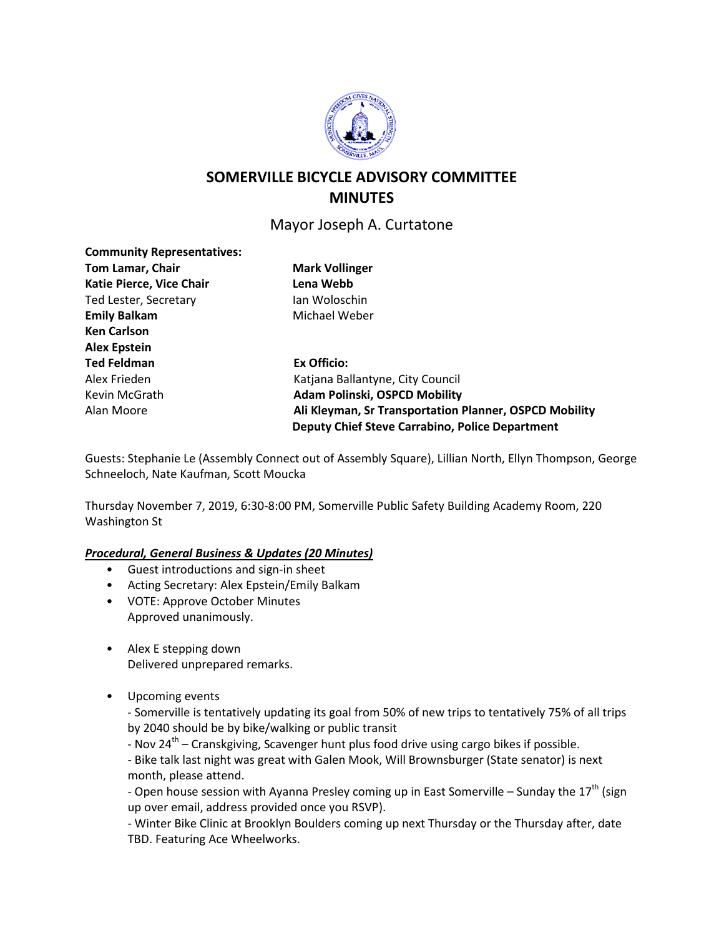

# **SOMERVILLE BICYCLE ADVISORY COMMITTEE MINUTES**

# Mayor Joseph A. Curtatone

| Tom Lamar, Chair         | <b>Mark Vollinger</b>                                  |
|--------------------------|--------------------------------------------------------|
| Katie Pierce, Vice Chair | Lena Webb                                              |
| Ted Lester, Secretary    | Ian Woloschin                                          |
| <b>Emily Balkam</b>      | Michael Weber                                          |
| <b>Ken Carlson</b>       |                                                        |
| <b>Alex Epstein</b>      |                                                        |
| <b>Ted Feldman</b>       | Ex Officio:                                            |
| Alex Frieden             | Katjana Ballantyne, City Council                       |
| Kevin McGrath            | <b>Adam Polinski, OSPCD Mobility</b>                   |
| Alan Moore               | Ali Kleyman, Sr Transportation Planner, OSPCD Mobility |
|                          | <b>Deputy Chief Steve Carrabino, Police Department</b> |

Guests: Stephanie Le (Assembly Connect out of Assembly Square), Lillian North, Ellyn Thompson, George Schneeloch, Nate Kaufman, Scott Moucka

Thursday November 7, 2019, 6:30-8:00 PM, Somerville Public Safety Building Academy Room, 220 Washington St

# *Procedural, General Business & Updates (20 Minutes)*

- Guest introductions and sign-in sheet
- Acting Secretary: Alex Epstein/Emily Balkam
- VOTE: Approve October Minutes Approved unanimously.
- Alex E stepping down Delivered unprepared remarks.
- Upcoming events

**Community Representatives:**

- Somerville is tentatively updating its goal from 50% of new trips to tentatively 75% of all trips by 2040 should be by bike/walking or public transit

- Nov  $24^{th}$  – Cranskgiving, Scavenger hunt plus food drive using cargo bikes if possible.

- Bike talk last night was great with Galen Mook, Will Brownsburger (State senator) is next month, please attend.

- Open house session with Ayanna Presley coming up in East Somerville – Sunday the  $17<sup>th</sup>$  (sign up over email, address provided once you RSVP).

- Winter Bike Clinic at Brooklyn Boulders coming up next Thursday or the Thursday after, date TBD. Featuring Ace Wheelworks.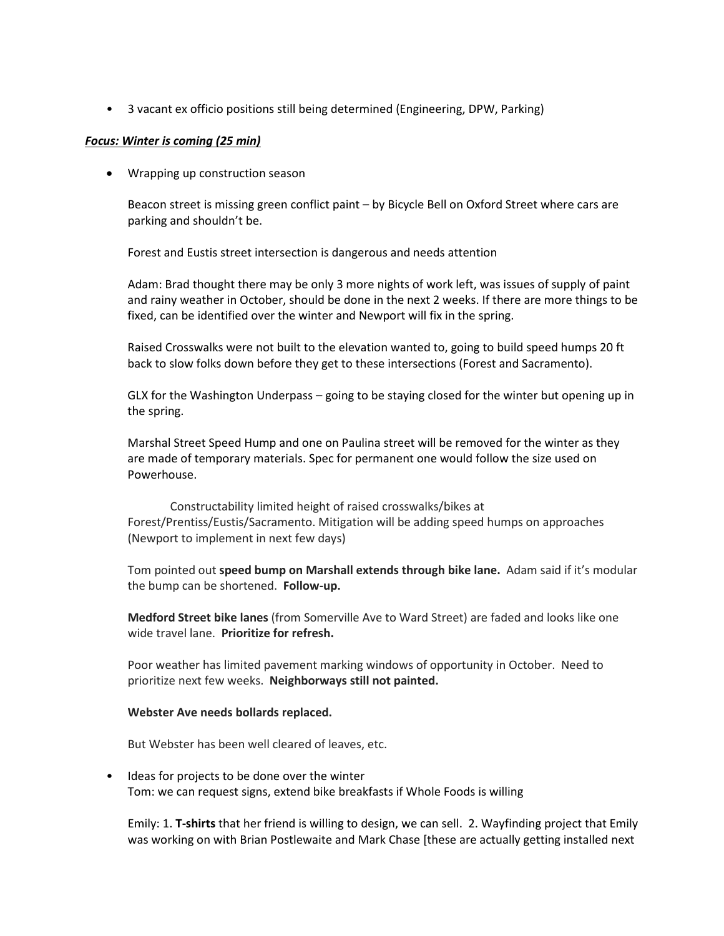• 3 vacant ex officio positions still being determined (Engineering, DPW, Parking)

#### *Focus: Winter is coming (25 min)*

• Wrapping up construction season

Beacon street is missing green conflict paint – by Bicycle Bell on Oxford Street where cars are parking and shouldn't be.

Forest and Eustis street intersection is dangerous and needs attention

Adam: Brad thought there may be only 3 more nights of work left, was issues of supply of paint and rainy weather in October, should be done in the next 2 weeks. If there are more things to be fixed, can be identified over the winter and Newport will fix in the spring.

Raised Crosswalks were not built to the elevation wanted to, going to build speed humps 20 ft back to slow folks down before they get to these intersections (Forest and Sacramento).

GLX for the Washington Underpass – going to be staying closed for the winter but opening up in the spring.

Marshal Street Speed Hump and one on Paulina street will be removed for the winter as they are made of temporary materials. Spec for permanent one would follow the size used on Powerhouse.

Constructability limited height of raised crosswalks/bikes at Forest/Prentiss/Eustis/Sacramento. Mitigation will be adding speed humps on approaches (Newport to implement in next few days)

Tom pointed out **speed bump on Marshall extends through bike lane.** Adam said if it's modular the bump can be shortened. **Follow-up.**

**Medford Street bike lanes** (from Somerville Ave to Ward Street) are faded and looks like one wide travel lane. **Prioritize for refresh.**

Poor weather has limited pavement marking windows of opportunity in October. Need to prioritize next few weeks. **Neighborways still not painted.**

#### **Webster Ave needs bollards replaced.**

But Webster has been well cleared of leaves, etc.

• Ideas for projects to be done over the winter Tom: we can request signs, extend bike breakfasts if Whole Foods is willing

Emily: 1. **T-shirts** that her friend is willing to design, we can sell. 2. Wayfinding project that Emily was working on with Brian Postlewaite and Mark Chase [these are actually getting installed next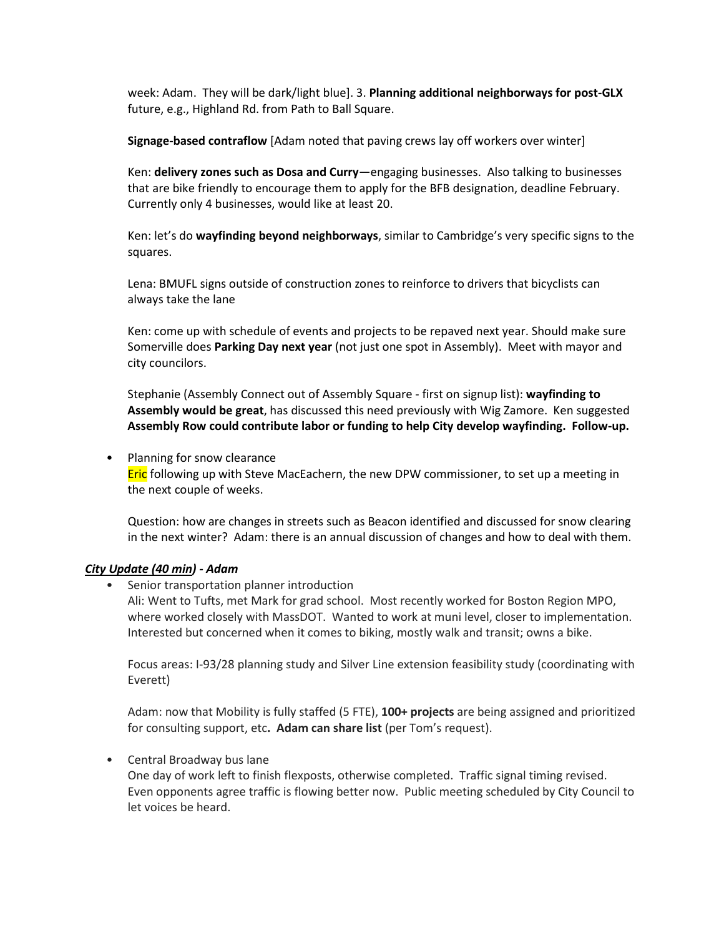week: Adam. They will be dark/light blue]. 3. **Planning additional neighborways for post-GLX**  future, e.g., Highland Rd. from Path to Ball Square.

**Signage-based contraflow** [Adam noted that paving crews lay off workers over winter]

Ken: **delivery zones such as Dosa and Curry**—engaging businesses. Also talking to businesses that are bike friendly to encourage them to apply for the BFB designation, deadline February. Currently only 4 businesses, would like at least 20.

Ken: let's do **wayfinding beyond neighborways**, similar to Cambridge's very specific signs to the squares.

Lena: BMUFL signs outside of construction zones to reinforce to drivers that bicyclists can always take the lane

Ken: come up with schedule of events and projects to be repaved next year. Should make sure Somerville does **Parking Day next year** (not just one spot in Assembly). Meet with mayor and city councilors.

Stephanie (Assembly Connect out of Assembly Square - first on signup list): **wayfinding to Assembly would be great**, has discussed this need previously with Wig Zamore. Ken suggested **Assembly Row could contribute labor or funding to help City develop wayfinding. Follow-up.**

#### • Planning for snow clearance

**Eric** following up with Steve MacEachern, the new DPW commissioner, to set up a meeting in the next couple of weeks.

Question: how are changes in streets such as Beacon identified and discussed for snow clearing in the next winter? Adam: there is an annual discussion of changes and how to deal with them.

# *City Update (40 min) - Adam*

• Senior transportation planner introduction

Ali: Went to Tufts, met Mark for grad school. Most recently worked for Boston Region MPO, where worked closely with MassDOT. Wanted to work at muni level, closer to implementation. Interested but concerned when it comes to biking, mostly walk and transit; owns a bike.

Focus areas: I-93/28 planning study and Silver Line extension feasibility study (coordinating with Everett)

Adam: now that Mobility is fully staffed (5 FTE), **100+ projects** are being assigned and prioritized for consulting support, etc**. Adam can share list** (per Tom's request).

# • Central Broadway bus lane

One day of work left to finish flexposts, otherwise completed. Traffic signal timing revised. Even opponents agree traffic is flowing better now. Public meeting scheduled by City Council to let voices be heard.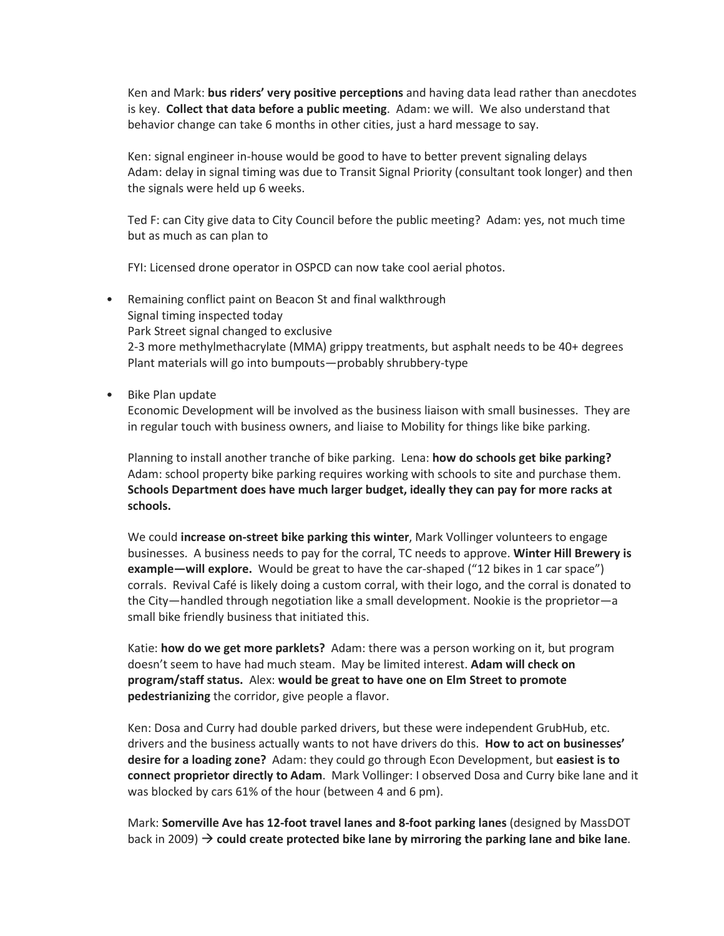Ken and Mark: **bus riders' very positive perceptions** and having data lead rather than anecdotes is key. **Collect that data before a public meeting**. Adam: we will. We also understand that behavior change can take 6 months in other cities, just a hard message to say.

Ken: signal engineer in-house would be good to have to better prevent signaling delays Adam: delay in signal timing was due to Transit Signal Priority (consultant took longer) and then the signals were held up 6 weeks.

Ted F: can City give data to City Council before the public meeting? Adam: yes, not much time but as much as can plan to

FYI: Licensed drone operator in OSPCD can now take cool aerial photos.

- Remaining conflict paint on Beacon St and final walkthrough Signal timing inspected today Park Street signal changed to exclusive 2-3 more methylmethacrylate (MMA) grippy treatments, but asphalt needs to be 40+ degrees Plant materials will go into bumpouts—probably shrubbery-type
- Bike Plan update

Economic Development will be involved as the business liaison with small businesses. They are in regular touch with business owners, and liaise to Mobility for things like bike parking.

Planning to install another tranche of bike parking. Lena: **how do schools get bike parking?** Adam: school property bike parking requires working with schools to site and purchase them. **Schools Department does have much larger budget, ideally they can pay for more racks at schools.**

We could **increase on-street bike parking this winter**, Mark Vollinger volunteers to engage businesses. A business needs to pay for the corral, TC needs to approve. **Winter Hill Brewery is example—will explore.** Would be great to have the car-shaped ("12 bikes in 1 car space") corrals. Revival Café is likely doing a custom corral, with their logo, and the corral is donated to the City—handled through negotiation like a small development. Nookie is the proprietor—a small bike friendly business that initiated this.

Katie: **how do we get more parklets?** Adam: there was a person working on it, but program doesn't seem to have had much steam. May be limited interest. **Adam will check on program/staff status.** Alex: **would be great to have one on Elm Street to promote pedestrianizing** the corridor, give people a flavor.

Ken: Dosa and Curry had double parked drivers, but these were independent GrubHub, etc. drivers and the business actually wants to not have drivers do this. **How to act on businesses' desire for a loading zone?** Adam: they could go through Econ Development, but **easiest is to connect proprietor directly to Adam**. Mark Vollinger: I observed Dosa and Curry bike lane and it was blocked by cars 61% of the hour (between 4 and 6 pm).

Mark: **Somerville Ave has 12-foot travel lanes and 8-foot parking lanes** (designed by MassDOT back in 2009)  $\rightarrow$  could create protected bike lane by mirroring the parking lane and bike lane.